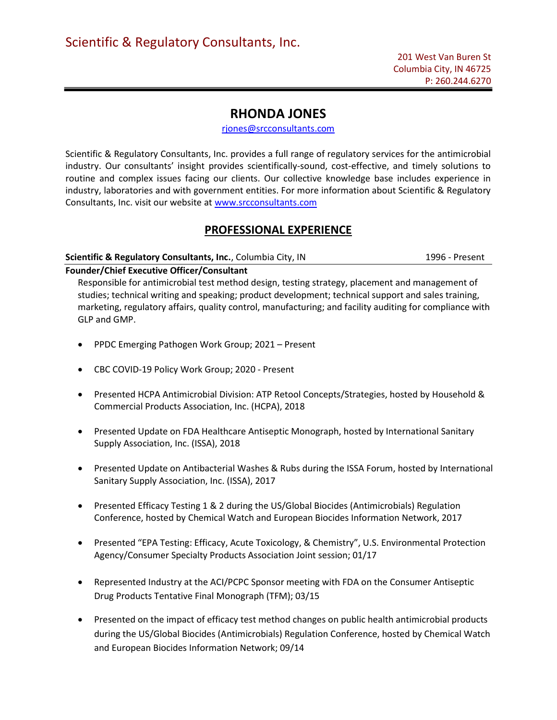# RHONDA JONES

rjones@srcconsultants.com

Scientific & Regulatory Consultants, Inc. provides a full range of regulatory services for the antimicrobial industry. Our consultants' insight provides scientifically-sound, cost-effective, and timely solutions to routine and complex issues facing our clients. Our collective knowledge base includes experience in industry, laboratories and with government entities. For more information about Scientific & Regulatory Consultants, Inc. visit our website at www.srcconsultants.com

# PROFESSIONAL EXPERIENCE

### Scientific & Regulatory Consultants, Inc., Columbia City, IN 1996 - Present

# Founder/Chief Executive Officer/Consultant

Responsible for antimicrobial test method design, testing strategy, placement and management of studies; technical writing and speaking; product development; technical support and sales training, marketing, regulatory affairs, quality control, manufacturing; and facility auditing for compliance with GLP and GMP.

- PPDC Emerging Pathogen Work Group; 2021 Present
- CBC COVID-19 Policy Work Group; 2020 Present
- Presented HCPA Antimicrobial Division: ATP Retool Concepts/Strategies, hosted by Household & Commercial Products Association, Inc. (HCPA), 2018
- Presented Update on FDA Healthcare Antiseptic Monograph, hosted by International Sanitary Supply Association, Inc. (ISSA), 2018
- Presented Update on Antibacterial Washes & Rubs during the ISSA Forum, hosted by International Sanitary Supply Association, Inc. (ISSA), 2017
- Presented Efficacy Testing 1 & 2 during the US/Global Biocides (Antimicrobials) Regulation Conference, hosted by Chemical Watch and European Biocides Information Network, 2017
- Presented "EPA Testing: Efficacy, Acute Toxicology, & Chemistry", U.S. Environmental Protection Agency/Consumer Specialty Products Association Joint session; 01/17
- Represented Industry at the ACI/PCPC Sponsor meeting with FDA on the Consumer Antiseptic Drug Products Tentative Final Monograph (TFM); 03/15
- Presented on the impact of efficacy test method changes on public health antimicrobial products during the US/Global Biocides (Antimicrobials) Regulation Conference, hosted by Chemical Watch and European Biocides Information Network; 09/14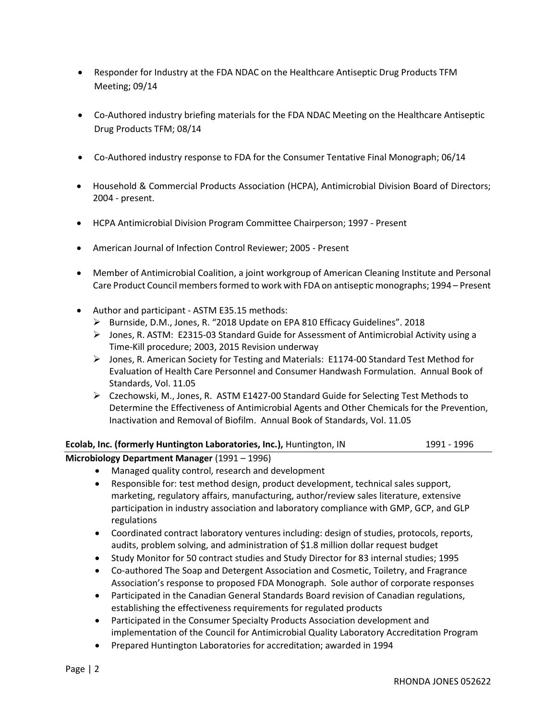- Responder for Industry at the FDA NDAC on the Healthcare Antiseptic Drug Products TFM Meeting; 09/14
- Co-Authored industry briefing materials for the FDA NDAC Meeting on the Healthcare Antiseptic Drug Products TFM; 08/14
- Co-Authored industry response to FDA for the Consumer Tentative Final Monograph; 06/14
- Household & Commercial Products Association (HCPA), Antimicrobial Division Board of Directors; 2004 - present.
- HCPA Antimicrobial Division Program Committee Chairperson; 1997 Present
- American Journal of Infection Control Reviewer; 2005 Present
- Member of Antimicrobial Coalition, a joint workgroup of American Cleaning Institute and Personal Care Product Council members formed to work with FDA on antiseptic monographs; 1994 – Present
- Author and participant ASTM E35.15 methods:
	- Burnside, D.M., Jones, R. "2018 Update on EPA 810 Efficacy Guidelines". 2018
	- Jones, R. ASTM: E2315-03 Standard Guide for Assessment of Antimicrobial Activity using a Time-Kill procedure; 2003, 2015 Revision underway
	- Jones, R. American Society for Testing and Materials: E1174-00 Standard Test Method for Evaluation of Health Care Personnel and Consumer Handwash Formulation. Annual Book of Standards, Vol. 11.05
	- Czechowski, M., Jones, R. ASTM E1427-00 Standard Guide for Selecting Test Methods to Determine the Effectiveness of Antimicrobial Agents and Other Chemicals for the Prevention, Inactivation and Removal of Biofilm. Annual Book of Standards, Vol. 11.05

# Ecolab, Inc. (formerly Huntington Laboratories, Inc.), Huntington, IN 1991 - 1996

Microbiology Department Manager (1991 – 1996)

- Managed quality control, research and development
- Responsible for: test method design, product development, technical sales support, marketing, regulatory affairs, manufacturing, author/review sales literature, extensive participation in industry association and laboratory compliance with GMP, GCP, and GLP regulations
- Coordinated contract laboratory ventures including: design of studies, protocols, reports, audits, problem solving, and administration of \$1.8 million dollar request budget
- Study Monitor for 50 contract studies and Study Director for 83 internal studies; 1995
- Co-authored The Soap and Detergent Association and Cosmetic, Toiletry, and Fragrance Association's response to proposed FDA Monograph. Sole author of corporate responses
- Participated in the Canadian General Standards Board revision of Canadian regulations, establishing the effectiveness requirements for regulated products
- Participated in the Consumer Specialty Products Association development and implementation of the Council for Antimicrobial Quality Laboratory Accreditation Program
- Prepared Huntington Laboratories for accreditation; awarded in 1994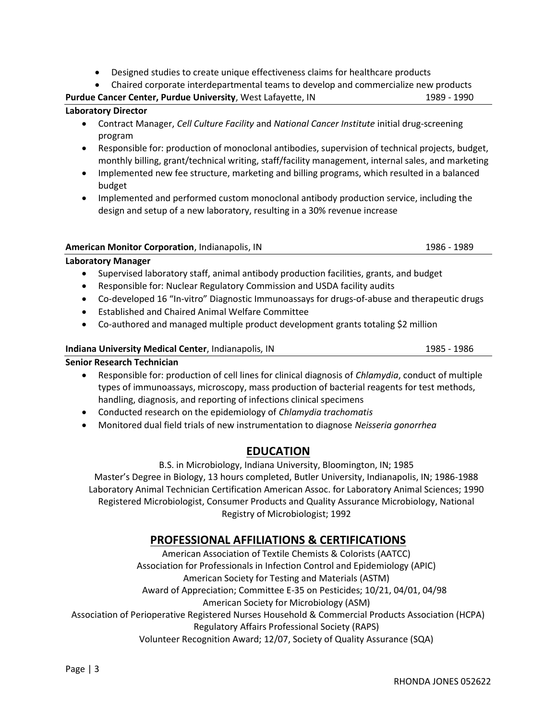- Designed studies to create unique effectiveness claims for healthcare products
- Chaired corporate interdepartmental teams to develop and commercialize new products

Purdue Cancer Center, Purdue University, West Lafayette, IN 1989 - 1990 - 1990

### Laboratory Director

- Contract Manager, Cell Culture Facility and National Cancer Institute initial drug-screening program
- Responsible for: production of monoclonal antibodies, supervision of technical projects, budget, monthly billing, grant/technical writing, staff/facility management, internal sales, and marketing
- Implemented new fee structure, marketing and billing programs, which resulted in a balanced budget
- Implemented and performed custom monoclonal antibody production service, including the design and setup of a new laboratory, resulting in a 30% revenue increase

| <b>American Monitor Corporation</b> , Indianapolis, IN | 1986 - 1989 |
|--------------------------------------------------------|-------------|
|                                                        |             |

# Laboratory Manager

- Supervised laboratory staff, animal antibody production facilities, grants, and budget
- Responsible for: Nuclear Regulatory Commission and USDA facility audits
- Co-developed 16 "In-vitro" Diagnostic Immunoassays for drugs-of-abuse and therapeutic drugs
- Established and Chaired Animal Welfare Committee
- Co-authored and managed multiple product development grants totaling \$2 million

#### Indiana University Medical Center, Indianapolis, IN 1985 - 1986

Senior Research Technician

- Responsible for: production of cell lines for clinical diagnosis of Chlamydia, conduct of multiple types of immunoassays, microscopy, mass production of bacterial reagents for test methods, handling, diagnosis, and reporting of infections clinical specimens
- Conducted research on the epidemiology of Chlamydia trachomatis
- Monitored dual field trials of new instrumentation to diagnose Neisseria gonorrhea

# EDUCATION

B.S. in Microbiology, Indiana University, Bloomington, IN; 1985 Master's Degree in Biology, 13 hours completed, Butler University, Indianapolis, IN; 1986-1988 Laboratory Animal Technician Certification American Assoc. for Laboratory Animal Sciences; 1990 Registered Microbiologist, Consumer Products and Quality Assurance Microbiology, National Registry of Microbiologist; 1992

# PROFESSIONAL AFFILIATIONS & CERTIFICATIONS

American Association of Textile Chemists & Colorists (AATCC) Association for Professionals in Infection Control and Epidemiology (APIC) American Society for Testing and Materials (ASTM) Award of Appreciation; Committee E-35 on Pesticides; 10/21, 04/01, 04/98 American Society for Microbiology (ASM) Association of Perioperative Registered Nurses Household & Commercial Products Association (HCPA) Regulatory Affairs Professional Society (RAPS) Volunteer Recognition Award; 12/07, Society of Quality Assurance (SQA)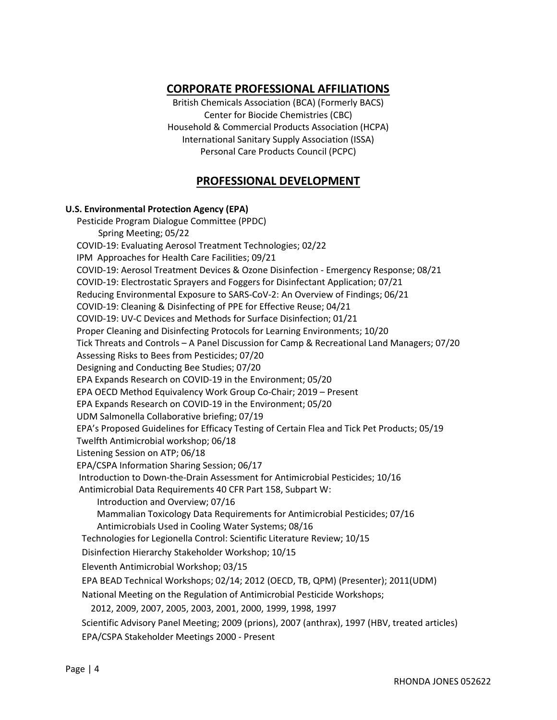# CORPORATE PROFESSIONAL AFFILIATIONS

British Chemicals Association (BCA) (Formerly BACS) Center for Biocide Chemistries (CBC) Household & Commercial Products Association (HCPA) International Sanitary Supply Association (ISSA) Personal Care Products Council (PCPC)

# PROFESSIONAL DEVELOPMENT

### U.S. Environmental Protection Agency (EPA)

 Pesticide Program Dialogue Committee (PPDC) Spring Meeting; 05/22 COVID-19: Evaluating Aerosol Treatment Technologies; 02/22 IPM Approaches for Health Care Facilities; 09/21 COVID-19: Aerosol Treatment Devices & Ozone Disinfection - Emergency Response; 08/21 COVID-19: Electrostatic Sprayers and Foggers for Disinfectant Application; 07/21 Reducing Environmental Exposure to SARS-CoV-2: An Overview of Findings; 06/21 COVID-19: Cleaning & Disinfecting of PPE for Effective Reuse; 04/21 COVID-19: UV-C Devices and Methods for Surface Disinfection; 01/21 Proper Cleaning and Disinfecting Protocols for Learning Environments; 10/20 Tick Threats and Controls – A Panel Discussion for Camp & Recreational Land Managers; 07/20 Assessing Risks to Bees from Pesticides; 07/20 Designing and Conducting Bee Studies; 07/20 EPA Expands Research on COVID-19 in the Environment; 05/20 EPA OECD Method Equivalency Work Group Co-Chair; 2019 – Present EPA Expands Research on COVID-19 in the Environment; 05/20 UDM Salmonella Collaborative briefing; 07/19 EPA's Proposed Guidelines for Efficacy Testing of Certain Flea and Tick Pet Products; 05/19 Twelfth Antimicrobial workshop; 06/18 Listening Session on ATP; 06/18 EPA/CSPA Information Sharing Session; 06/17 Introduction to Down-the-Drain Assessment for Antimicrobial Pesticides; 10/16 Antimicrobial Data Requirements 40 CFR Part 158, Subpart W: Introduction and Overview; 07/16 Mammalian Toxicology Data Requirements for Antimicrobial Pesticides; 07/16 Antimicrobials Used in Cooling Water Systems; 08/16 Technologies for Legionella Control: Scientific Literature Review; 10/15 Disinfection Hierarchy Stakeholder Workshop; 10/15 Eleventh Antimicrobial Workshop; 03/15 EPA BEAD Technical Workshops; 02/14; 2012 (OECD, TB, QPM) (Presenter); 2011(UDM) National Meeting on the Regulation of Antimicrobial Pesticide Workshops; 2012, 2009, 2007, 2005, 2003, 2001, 2000, 1999, 1998, 1997 Scientific Advisory Panel Meeting; 2009 (prions), 2007 (anthrax), 1997 (HBV, treated articles) EPA/CSPA Stakeholder Meetings 2000 - Present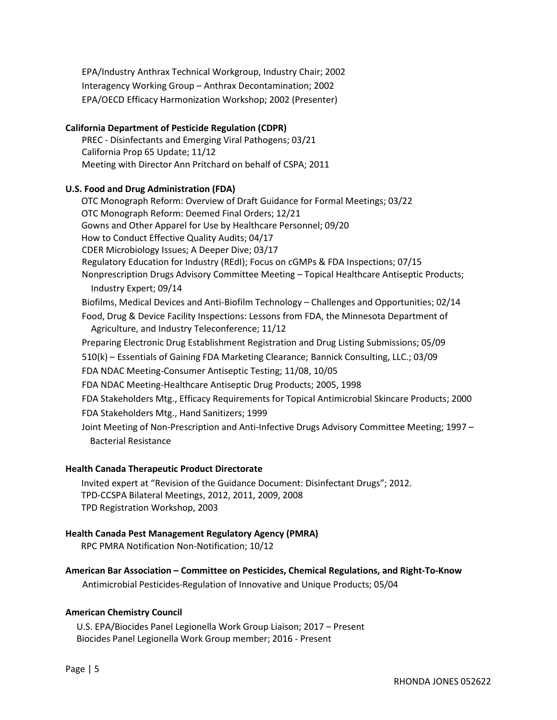EPA/Industry Anthrax Technical Workgroup, Industry Chair; 2002 Interagency Working Group – Anthrax Decontamination; 2002 EPA/OECD Efficacy Harmonization Workshop; 2002 (Presenter)

# California Department of Pesticide Regulation (CDPR)

PREC - Disinfectants and Emerging Viral Pathogens; 03/21 California Prop 65 Update; 11/12 Meeting with Director Ann Pritchard on behalf of CSPA; 2011

# U.S. Food and Drug Administration (FDA)

 OTC Monograph Reform: Overview of Draft Guidance for Formal Meetings; 03/22 OTC Monograph Reform: Deemed Final Orders; 12/21 Gowns and Other Apparel for Use by Healthcare Personnel; 09/20 How to Conduct Effective Quality Audits; 04/17 CDER Microbiology Issues; A Deeper Dive; 03/17 Regulatory Education for Industry (REdI); Focus on cGMPs & FDA Inspections; 07/15 Nonprescription Drugs Advisory Committee Meeting – Topical Healthcare Antiseptic Products; Industry Expert; 09/14 Biofilms, Medical Devices and Anti-Biofilm Technology – Challenges and Opportunities; 02/14 Food, Drug & Device Facility Inspections: Lessons from FDA, the Minnesota Department of Agriculture, and Industry Teleconference; 11/12 Preparing Electronic Drug Establishment Registration and Drug Listing Submissions; 05/09 510(k) – Essentials of Gaining FDA Marketing Clearance; Bannick Consulting, LLC.; 03/09 FDA NDAC Meeting-Consumer Antiseptic Testing; 11/08, 10/05 FDA NDAC Meeting-Healthcare Antiseptic Drug Products; 2005, 1998 FDA Stakeholders Mtg., Efficacy Requirements for Topical Antimicrobial Skincare Products; 2000 FDA Stakeholders Mtg., Hand Sanitizers; 1999 Joint Meeting of Non-Prescription and Anti-Infective Drugs Advisory Committee Meeting; 1997 – Bacterial Resistance

# Health Canada Therapeutic Product Directorate

 Invited expert at "Revision of the Guidance Document: Disinfectant Drugs"; 2012. TPD-CCSPA Bilateral Meetings, 2012, 2011, 2009, 2008 TPD Registration Workshop, 2003

# Health Canada Pest Management Regulatory Agency (PMRA)

RPC PMRA Notification Non-Notification; 10/12

# American Bar Association – Committee on Pesticides, Chemical Regulations, and Right-To-Know

Antimicrobial Pesticides-Regulation of Innovative and Unique Products; 05/04

# American Chemistry Council

U.S. EPA/Biocides Panel Legionella Work Group Liaison; 2017 – Present Biocides Panel Legionella Work Group member; 2016 - Present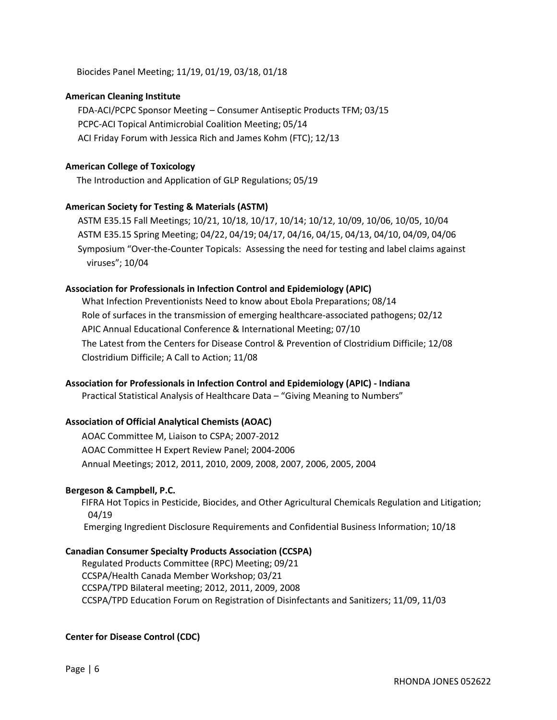Biocides Panel Meeting; 11/19, 01/19, 03/18, 01/18

#### American Cleaning Institute

FDA-ACI/PCPC Sponsor Meeting – Consumer Antiseptic Products TFM; 03/15 PCPC-ACI Topical Antimicrobial Coalition Meeting; 05/14 ACI Friday Forum with Jessica Rich and James Kohm (FTC); 12/13

#### American College of Toxicology

The Introduction and Application of GLP Regulations; 05/19

#### American Society for Testing & Materials (ASTM)

ASTM E35.15 Fall Meetings; 10/21, 10/18, 10/17, 10/14; 10/12, 10/09, 10/06, 10/05, 10/04 ASTM E35.15 Spring Meeting; 04/22, 04/19; 04/17, 04/16, 04/15, 04/13, 04/10, 04/09, 04/06 Symposium "Over-the-Counter Topicals: Assessing the need for testing and label claims against viruses"; 10/04

#### Association for Professionals in Infection Control and Epidemiology (APIC)

What Infection Preventionists Need to know about Ebola Preparations; 08/14 Role of surfaces in the transmission of emerging healthcare-associated pathogens; 02/12 APIC Annual Educational Conference & International Meeting; 07/10 The Latest from the Centers for Disease Control & Prevention of Clostridium Difficile; 12/08 Clostridium Difficile; A Call to Action; 11/08

#### Association for Professionals in Infection Control and Epidemiology (APIC) - Indiana

Practical Statistical Analysis of Healthcare Data – "Giving Meaning to Numbers"

#### Association of Official Analytical Chemists (AOAC)

AOAC Committee M, Liaison to CSPA; 2007-2012 AOAC Committee H Expert Review Panel; 2004-2006 Annual Meetings; 2012, 2011, 2010, 2009, 2008, 2007, 2006, 2005, 2004

#### Bergeson & Campbell, P.C.

 FIFRA Hot Topics in Pesticide, Biocides, and Other Agricultural Chemicals Regulation and Litigation; 04/19 Emerging Ingredient Disclosure Requirements and Confidential Business Information; 10/18

#### Canadian Consumer Specialty Products Association (CCSPA)

Regulated Products Committee (RPC) Meeting; 09/21 CCSPA/Health Canada Member Workshop; 03/21 CCSPA/TPD Bilateral meeting; 2012, 2011, 2009, 2008 CCSPA/TPD Education Forum on Registration of Disinfectants and Sanitizers; 11/09, 11/03

#### Center for Disease Control (CDC)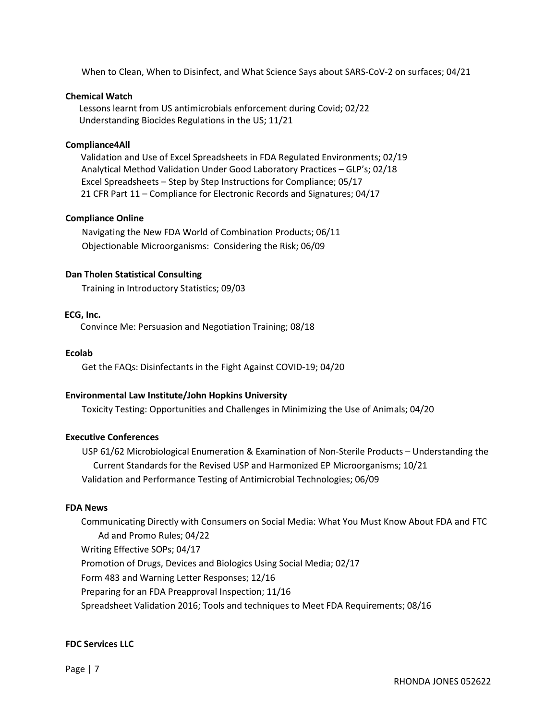When to Clean, When to Disinfect, and What Science Says about SARS-CoV-2 on surfaces; 04/21

#### Chemical Watch

 Lessons learnt from US antimicrobials enforcement during Covid; 02/22 Understanding Biocides Regulations in the US; 11/21

#### Compliance4All

 Validation and Use of Excel Spreadsheets in FDA Regulated Environments; 02/19 Analytical Method Validation Under Good Laboratory Practices – GLP's; 02/18 Excel Spreadsheets – Step by Step Instructions for Compliance; 05/17 21 CFR Part 11 – Compliance for Electronic Records and Signatures; 04/17

#### Compliance Online

Navigating the New FDA World of Combination Products; 06/11 Objectionable Microorganisms: Considering the Risk; 06/09

#### Dan Tholen Statistical Consulting

Training in Introductory Statistics; 09/03

#### ECG, Inc.

Convince Me: Persuasion and Negotiation Training; 08/18

#### Ecolab

Get the FAQs: Disinfectants in the Fight Against COVID-19; 04/20

#### Environmental Law Institute/John Hopkins University

Toxicity Testing: Opportunities and Challenges in Minimizing the Use of Animals; 04/20

#### Executive Conferences

USP 61/62 Microbiological Enumeration & Examination of Non-Sterile Products – Understanding the Current Standards for the Revised USP and Harmonized EP Microorganisms; 10/21 Validation and Performance Testing of Antimicrobial Technologies; 06/09

#### FDA News

 Communicating Directly with Consumers on Social Media: What You Must Know About FDA and FTC Ad and Promo Rules; 04/22 Writing Effective SOPs; 04/17 Promotion of Drugs, Devices and Biologics Using Social Media; 02/17 Form 483 and Warning Letter Responses; 12/16 Preparing for an FDA Preapproval Inspection; 11/16 Spreadsheet Validation 2016; Tools and techniques to Meet FDA Requirements; 08/16

#### FDC Services LLC

Page | 7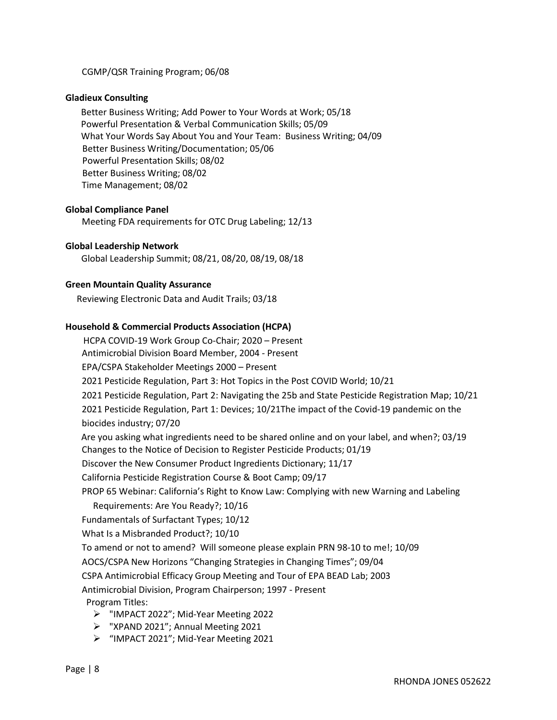CGMP/QSR Training Program; 06/08

#### Gladieux Consulting

 Better Business Writing; Add Power to Your Words at Work; 05/18 Powerful Presentation & Verbal Communication Skills; 05/09 What Your Words Say About You and Your Team: Business Writing; 04/09 Better Business Writing/Documentation; 05/06 Powerful Presentation Skills; 08/02 Better Business Writing; 08/02 Time Management; 08/02

#### Global Compliance Panel

Meeting FDA requirements for OTC Drug Labeling; 12/13

#### Global Leadership Network

Global Leadership Summit; 08/21, 08/20, 08/19, 08/18

#### Green Mountain Quality Assurance

Reviewing Electronic Data and Audit Trails; 03/18

#### Household & Commercial Products Association (HCPA)

 HCPA COVID-19 Work Group Co-Chair; 2020 – Present Antimicrobial Division Board Member, 2004 - Present EPA/CSPA Stakeholder Meetings 2000 – Present 2021 Pesticide Regulation, Part 3: Hot Topics in the Post COVID World; 10/21 2021 Pesticide Regulation, Part 2: Navigating the 25b and State Pesticide Registration Map; 10/21 2021 Pesticide Regulation, Part 1: Devices; 10/21The impact of the Covid-19 pandemic on the biocides industry; 07/20 Are you asking what ingredients need to be shared online and on your label, and when?; 03/19 Changes to the Notice of Decision to Register Pesticide Products; 01/19 Discover the New Consumer Product Ingredients Dictionary; 11/17 California Pesticide Registration Course & Boot Camp; 09/17 PROP 65 Webinar: California's Right to Know Law: Complying with new Warning and Labeling Requirements: Are You Ready?; 10/16 Fundamentals of Surfactant Types; 10/12 What Is a Misbranded Product?; 10/10 To amend or not to amend? Will someone please explain PRN 98-10 to me!; 10/09 AOCS/CSPA New Horizons "Changing Strategies in Changing Times"; 09/04 CSPA Antimicrobial Efficacy Group Meeting and Tour of EPA BEAD Lab; 2003 Antimicrobial Division, Program Chairperson; 1997 - Present Program Titles: "IMPACT 2022"; Mid-Year Meeting 2022  $\triangleright$  "XPAND 2021"; Annual Meeting 2021 "IMPACT 2021"; Mid-Year Meeting 2021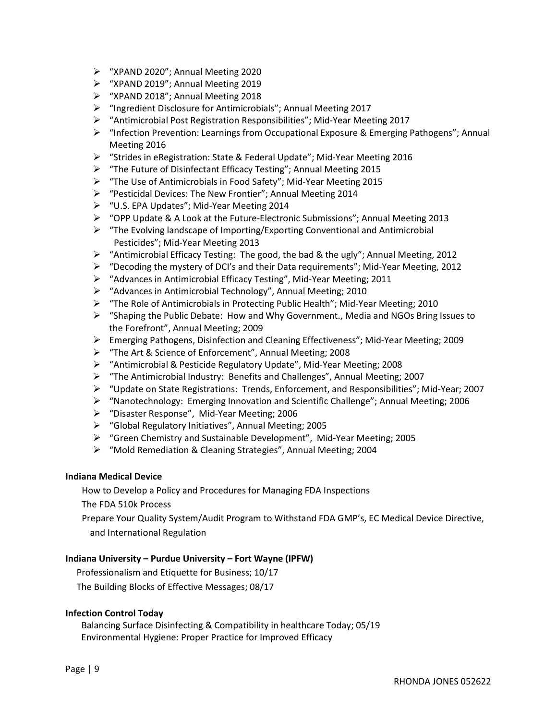- $\triangleright$  "XPAND 2020"; Annual Meeting 2020
- "XPAND 2019"; Annual Meeting 2019
- "XPAND 2018"; Annual Meeting 2018
- "Ingredient Disclosure for Antimicrobials"; Annual Meeting 2017
- "Antimicrobial Post Registration Responsibilities"; Mid-Year Meeting 2017
- $\triangleright$  "Infection Prevention: Learnings from Occupational Exposure & Emerging Pathogens"; Annual Meeting 2016
- "Strides in eRegistration: State & Federal Update"; Mid-Year Meeting 2016
- "The Future of Disinfectant Efficacy Testing"; Annual Meeting 2015
- $\triangleright$  "The Use of Antimicrobials in Food Safety"; Mid-Year Meeting 2015
- "Pesticidal Devices: The New Frontier"; Annual Meeting 2014
- "U.S. EPA Updates"; Mid-Year Meeting 2014
- $\triangleright$  "OPP Update & A Look at the Future-Electronic Submissions"; Annual Meeting 2013
- $\triangleright$  "The Evolving landscape of Importing/Exporting Conventional and Antimicrobial Pesticides"; Mid-Year Meeting 2013
- $\triangleright$  "Antimicrobial Efficacy Testing: The good, the bad & the ugly"; Annual Meeting, 2012
- $\triangleright$  "Decoding the mystery of DCI's and their Data requirements"; Mid-Year Meeting, 2012
- "Advances in Antimicrobial Efficacy Testing", Mid-Year Meeting; 2011
- $\triangleright$  "Advances in Antimicrobial Technology", Annual Meeting; 2010
- "The Role of Antimicrobials in Protecting Public Health"; Mid-Year Meeting; 2010
- $\triangleright$  "Shaping the Public Debate: How and Why Government., Media and NGOs Bring Issues to the Forefront", Annual Meeting; 2009
- Emerging Pathogens, Disinfection and Cleaning Effectiveness"; Mid-Year Meeting; 2009
- "The Art & Science of Enforcement", Annual Meeting; 2008
- "Antimicrobial & Pesticide Regulatory Update", Mid-Year Meeting; 2008
- $\triangleright$  "The Antimicrobial Industry: Benefits and Challenges", Annual Meeting; 2007
- "Update on State Registrations: Trends, Enforcement, and Responsibilities"; Mid-Year; 2007
- $\triangleright$  "Nanotechnology: Emerging Innovation and Scientific Challenge"; Annual Meeting; 2006
- "Disaster Response", Mid-Year Meeting; 2006
- "Global Regulatory Initiatives", Annual Meeting; 2005
- "Green Chemistry and Sustainable Development", Mid-Year Meeting; 2005
- > "Mold Remediation & Cleaning Strategies", Annual Meeting; 2004

#### Indiana Medical Device

How to Develop a Policy and Procedures for Managing FDA Inspections

The FDA 510k Process

Prepare Your Quality System/Audit Program to Withstand FDA GMP's, EC Medical Device Directive, and International Regulation

#### Indiana University – Purdue University – Fort Wayne (IPFW)

Professionalism and Etiquette for Business; 10/17 The Building Blocks of Effective Messages; 08/17

#### Infection Control Today

 Balancing Surface Disinfecting & Compatibility in healthcare Today; 05/19 Environmental Hygiene: Proper Practice for Improved Efficacy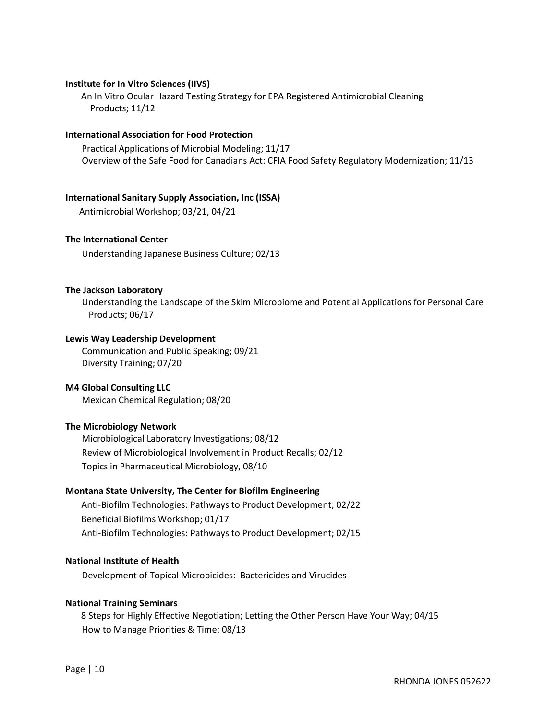#### Institute for In Vitro Sciences (IIVS)

 An In Vitro Ocular Hazard Testing Strategy for EPA Registered Antimicrobial Cleaning Products; 11/12

#### International Association for Food Protection

Practical Applications of Microbial Modeling; 11/17 Overview of the Safe Food for Canadians Act: CFIA Food Safety Regulatory Modernization; 11/13

#### International Sanitary Supply Association, Inc (ISSA)

Antimicrobial Workshop; 03/21, 04/21

#### The International Center

Understanding Japanese Business Culture; 02/13

#### The Jackson Laboratory

Understanding the Landscape of the Skim Microbiome and Potential Applications for Personal Care Products; 06/17

#### Lewis Way Leadership Development

Communication and Public Speaking; 09/21 Diversity Training; 07/20

#### M4 Global Consulting LLC

Mexican Chemical Regulation; 08/20

#### The Microbiology Network

Microbiological Laboratory Investigations; 08/12 Review of Microbiological Involvement in Product Recalls; 02/12 Topics in Pharmaceutical Microbiology, 08/10

#### Montana State University, The Center for Biofilm Engineering

 Anti-Biofilm Technologies: Pathways to Product Development; 02/22 Beneficial Biofilms Workshop; 01/17 Anti-Biofilm Technologies: Pathways to Product Development; 02/15

#### National Institute of Health

Development of Topical Microbicides: Bactericides and Virucides

#### National Training Seminars

 8 Steps for Highly Effective Negotiation; Letting the Other Person Have Your Way; 04/15 How to Manage Priorities & Time; 08/13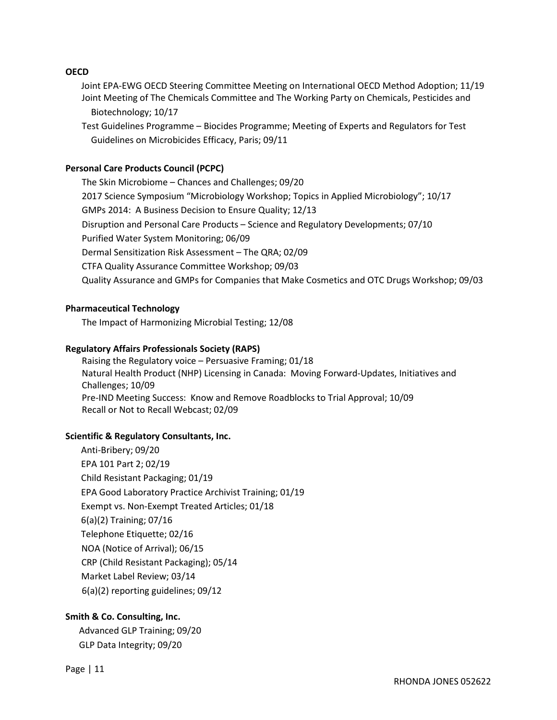#### **OECD**

 Joint EPA-EWG OECD Steering Committee Meeting on International OECD Method Adoption; 11/19 Joint Meeting of The Chemicals Committee and The Working Party on Chemicals, Pesticides and Biotechnology; 10/17

Test Guidelines Programme – Biocides Programme; Meeting of Experts and Regulators for Test Guidelines on Microbicides Efficacy, Paris; 09/11

#### Personal Care Products Council (PCPC)

The Skin Microbiome – Chances and Challenges; 09/20 2017 Science Symposium "Microbiology Workshop; Topics in Applied Microbiology"; 10/17 GMPs 2014: A Business Decision to Ensure Quality; 12/13 Disruption and Personal Care Products – Science and Regulatory Developments; 07/10 Purified Water System Monitoring; 06/09 Dermal Sensitization Risk Assessment – The QRA; 02/09 CTFA Quality Assurance Committee Workshop; 09/03 Quality Assurance and GMPs for Companies that Make Cosmetics and OTC Drugs Workshop; 09/03

#### Pharmaceutical Technology

The Impact of Harmonizing Microbial Testing; 12/08

#### Regulatory Affairs Professionals Society (RAPS)

Raising the Regulatory voice – Persuasive Framing; 01/18 Natural Health Product (NHP) Licensing in Canada: Moving Forward-Updates, Initiatives and Challenges; 10/09 Pre-IND Meeting Success: Know and Remove Roadblocks to Trial Approval; 10/09 Recall or Not to Recall Webcast; 02/09

#### Scientific & Regulatory Consultants, Inc.

 Anti-Bribery; 09/20 EPA 101 Part 2; 02/19 Child Resistant Packaging; 01/19 EPA Good Laboratory Practice Archivist Training; 01/19 Exempt vs. Non-Exempt Treated Articles; 01/18 6(a)(2) Training; 07/16 Telephone Etiquette; 02/16 NOA (Notice of Arrival); 06/15 CRP (Child Resistant Packaging); 05/14 Market Label Review; 03/14 6(a)(2) reporting guidelines; 09/12

#### Smith & Co. Consulting, Inc.

 Advanced GLP Training; 09/20 GLP Data Integrity; 09/20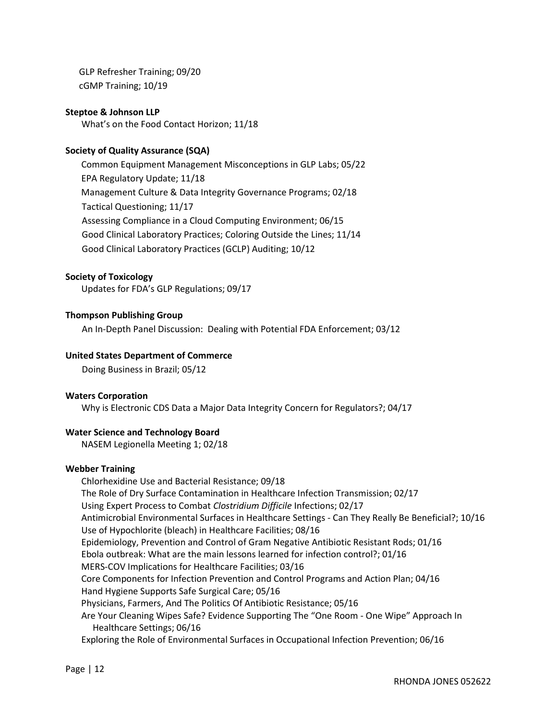GLP Refresher Training; 09/20 cGMP Training; 10/19

#### Steptoe & Johnson LLP

What's on the Food Contact Horizon; 11/18

### Society of Quality Assurance (SQA)

 Common Equipment Management Misconceptions in GLP Labs; 05/22 EPA Regulatory Update; 11/18 Management Culture & Data Integrity Governance Programs; 02/18 Tactical Questioning; 11/17 Assessing Compliance in a Cloud Computing Environment; 06/15 Good Clinical Laboratory Practices; Coloring Outside the Lines; 11/14 Good Clinical Laboratory Practices (GCLP) Auditing; 10/12

#### Society of Toxicology

Updates for FDA's GLP Regulations; 09/17

#### Thompson Publishing Group

An In-Depth Panel Discussion: Dealing with Potential FDA Enforcement; 03/12

#### United States Department of Commerce

Doing Business in Brazil; 05/12

#### Waters Corporation

Why is Electronic CDS Data a Major Data Integrity Concern for Regulators?; 04/17

#### Water Science and Technology Board

NASEM Legionella Meeting 1; 02/18

#### Webber Training

 Chlorhexidine Use and Bacterial Resistance; 09/18 The Role of Dry Surface Contamination in Healthcare Infection Transmission; 02/17 Using Expert Process to Combat Clostridium Difficile Infections; 02/17 Antimicrobial Environmental Surfaces in Healthcare Settings - Can They Really Be Beneficial?; 10/16 Use of Hypochlorite (bleach) in Healthcare Facilities; 08/16 Epidemiology, Prevention and Control of Gram Negative Antibiotic Resistant Rods; 01/16 Ebola outbreak: What are the main lessons learned for infection control?; 01/16 MERS-COV Implications for Healthcare Facilities; 03/16 Core Components for Infection Prevention and Control Programs and Action Plan; 04/16 Hand Hygiene Supports Safe Surgical Care; 05/16 Physicians, Farmers, And The Politics Of Antibiotic Resistance; 05/16 Are Your Cleaning Wipes Safe? Evidence Supporting The "One Room - One Wipe" Approach In Healthcare Settings; 06/16 Exploring the Role of Environmental Surfaces in Occupational Infection Prevention; 06/16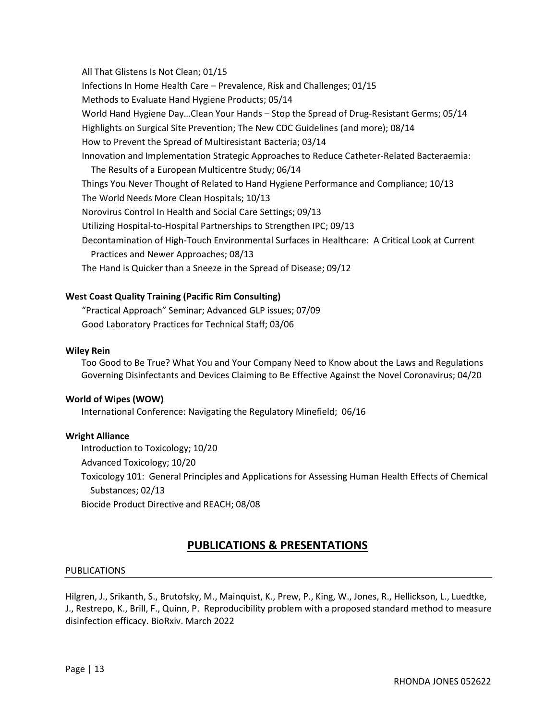All That Glistens Is Not Clean; 01/15 Infections In Home Health Care – Prevalence, Risk and Challenges; 01/15 Methods to Evaluate Hand Hygiene Products; 05/14 World Hand Hygiene Day…Clean Your Hands – Stop the Spread of Drug-Resistant Germs; 05/14 Highlights on Surgical Site Prevention; The New CDC Guidelines (and more); 08/14 How to Prevent the Spread of Multiresistant Bacteria; 03/14 Innovation and Implementation Strategic Approaches to Reduce Catheter-Related Bacteraemia: The Results of a European Multicentre Study; 06/14 Things You Never Thought of Related to Hand Hygiene Performance and Compliance; 10/13 The World Needs More Clean Hospitals; 10/13 Norovirus Control In Health and Social Care Settings; 09/13 Utilizing Hospital-to-Hospital Partnerships to Strengthen IPC; 09/13 Decontamination of High-Touch Environmental Surfaces in Healthcare: A Critical Look at Current Practices and Newer Approaches; 08/13 The Hand is Quicker than a Sneeze in the Spread of Disease; 09/12

#### West Coast Quality Training (Pacific Rim Consulting)

"Practical Approach" Seminar; Advanced GLP issues; 07/09 Good Laboratory Practices for Technical Staff; 03/06

#### Wiley Rein

 Too Good to Be True? What You and Your Company Need to Know about the Laws and Regulations Governing Disinfectants and Devices Claiming to Be Effective Against the Novel Coronavirus; 04/20

#### World of Wipes (WOW)

International Conference: Navigating the Regulatory Minefield; 06/16

#### Wright Alliance

Introduction to Toxicology; 10/20

Advanced Toxicology; 10/20

 Toxicology 101: General Principles and Applications for Assessing Human Health Effects of Chemical Substances; 02/13

Biocide Product Directive and REACH; 08/08

# PUBLICATIONS & PRESENTATIONS

#### PUBLICATIONS

Hilgren, J., Srikanth, S., Brutofsky, M., Mainquist, K., Prew, P., King, W., Jones, R., Hellickson, L., Luedtke, J., Restrepo, K., Brill, F., Quinn, P. Reproducibility problem with a proposed standard method to measure disinfection efficacy. BioRxiv. March 2022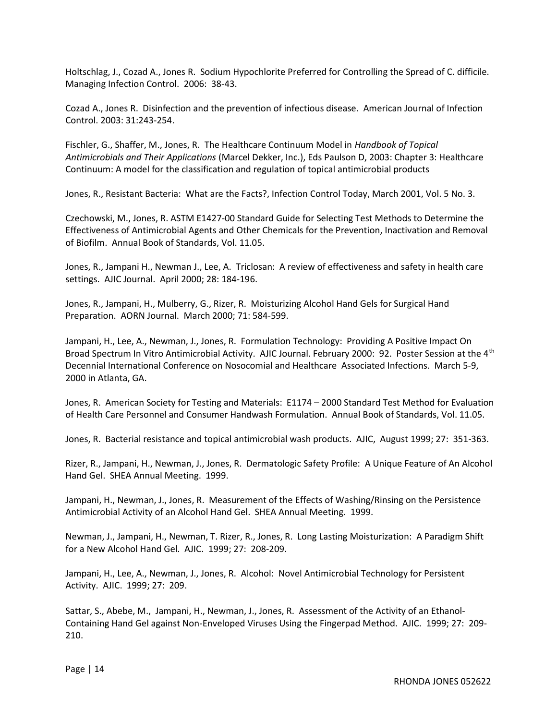Holtschlag, J., Cozad A., Jones R. Sodium Hypochlorite Preferred for Controlling the Spread of C. difficile. Managing Infection Control. 2006: 38-43.

Cozad A., Jones R. Disinfection and the prevention of infectious disease. American Journal of Infection Control. 2003: 31:243-254.

Fischler, G., Shaffer, M., Jones, R. The Healthcare Continuum Model in Handbook of Topical Antimicrobials and Their Applications (Marcel Dekker, Inc.), Eds Paulson D, 2003: Chapter 3: Healthcare Continuum: A model for the classification and regulation of topical antimicrobial products

Jones, R., Resistant Bacteria: What are the Facts?, Infection Control Today, March 2001, Vol. 5 No. 3.

Czechowski, M., Jones, R. ASTM E1427-00 Standard Guide for Selecting Test Methods to Determine the Effectiveness of Antimicrobial Agents and Other Chemicals for the Prevention, Inactivation and Removal of Biofilm. Annual Book of Standards, Vol. 11.05.

Jones, R., Jampani H., Newman J., Lee, A. Triclosan: A review of effectiveness and safety in health care settings. AJIC Journal. April 2000; 28: 184-196.

Jones, R., Jampani, H., Mulberry, G., Rizer, R. Moisturizing Alcohol Hand Gels for Surgical Hand Preparation. AORN Journal. March 2000; 71: 584-599.

Jampani, H., Lee, A., Newman, J., Jones, R. Formulation Technology: Providing A Positive Impact On Broad Spectrum In Vitro Antimicrobial Activity. AJIC Journal. February 2000: 92. Poster Session at the 4<sup>th</sup> Decennial International Conference on Nosocomial and Healthcare Associated Infections. March 5-9, 2000 in Atlanta, GA.

Jones, R. American Society for Testing and Materials: E1174 – 2000 Standard Test Method for Evaluation of Health Care Personnel and Consumer Handwash Formulation. Annual Book of Standards, Vol. 11.05.

Jones, R. Bacterial resistance and topical antimicrobial wash products. AJIC, August 1999; 27: 351-363.

Rizer, R., Jampani, H., Newman, J., Jones, R. Dermatologic Safety Profile: A Unique Feature of An Alcohol Hand Gel. SHEA Annual Meeting. 1999.

Jampani, H., Newman, J., Jones, R. Measurement of the Effects of Washing/Rinsing on the Persistence Antimicrobial Activity of an Alcohol Hand Gel. SHEA Annual Meeting. 1999.

Newman, J., Jampani, H., Newman, T. Rizer, R., Jones, R. Long Lasting Moisturization: A Paradigm Shift for a New Alcohol Hand Gel. AJIC. 1999; 27: 208-209.

Jampani, H., Lee, A., Newman, J., Jones, R. Alcohol: Novel Antimicrobial Technology for Persistent Activity. AJIC. 1999; 27: 209.

Sattar, S., Abebe, M., Jampani, H., Newman, J., Jones, R. Assessment of the Activity of an Ethanol-Containing Hand Gel against Non-Enveloped Viruses Using the Fingerpad Method. AJIC. 1999; 27: 209- 210.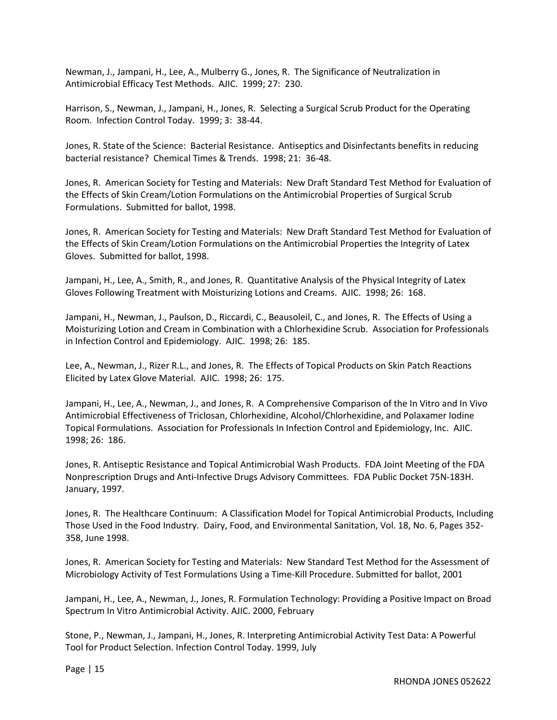Newman, J., Jampani, H., Lee, A., Mulberry G., Jones, R. The Significance of Neutralization in Antimicrobial Efficacy Test Methods. AJIC. 1999; 27: 230.

Harrison, S., Newman, J., Jampani, H., Jones, R. Selecting a Surgical Scrub Product for the Operating Room. Infection Control Today. 1999; 3: 38-44.

Jones, R. State of the Science: Bacterial Resistance. Antiseptics and Disinfectants benefits in reducing bacterial resistance? Chemical Times & Trends. 1998; 21: 36-48.

Jones, R. American Society for Testing and Materials: New Draft Standard Test Method for Evaluation of the Effects of Skin Cream/Lotion Formulations on the Antimicrobial Properties of Surgical Scrub Formulations. Submitted for ballot, 1998.

Jones, R. American Society for Testing and Materials: New Draft Standard Test Method for Evaluation of the Effects of Skin Cream/Lotion Formulations on the Antimicrobial Properties the Integrity of Latex Gloves. Submitted for ballot, 1998.

Jampani, H., Lee, A., Smith, R., and Jones, R. Quantitative Analysis of the Physical Integrity of Latex Gloves Following Treatment with Moisturizing Lotions and Creams. AJIC. 1998; 26: 168.

Jampani, H., Newman, J., Paulson, D., Riccardi, C., Beausoleil, C., and Jones, R. The Effects of Using a Moisturizing Lotion and Cream in Combination with a Chlorhexidine Scrub. Association for Professionals in Infection Control and Epidemiology. AJIC. 1998; 26: 185.

Lee, A., Newman, J., Rizer R.L., and Jones, R. The Effects of Topical Products on Skin Patch Reactions Elicited by Latex Glove Material. AJIC. 1998; 26: 175.

Jampani, H., Lee, A., Newman, J., and Jones, R. A Comprehensive Comparison of the In Vitro and In Vivo Antimicrobial Effectiveness of Triclosan, Chlorhexidine, Alcohol/Chlorhexidine, and Polaxamer Iodine Topical Formulations. Association for Professionals In Infection Control and Epidemiology, Inc. AJIC. 1998; 26: 186.

Jones, R. Antiseptic Resistance and Topical Antimicrobial Wash Products. FDA Joint Meeting of the FDA Nonprescription Drugs and Anti-Infective Drugs Advisory Committees. FDA Public Docket 75N-183H. January, 1997.

Jones, R. The Healthcare Continuum: A Classification Model for Topical Antimicrobial Products, Including Those Used in the Food Industry. Dairy, Food, and Environmental Sanitation, Vol. 18, No. 6, Pages 352- 358, June 1998.

Jones, R. American Society for Testing and Materials: New Standard Test Method for the Assessment of Microbiology Activity of Test Formulations Using a Time-Kill Procedure. Submitted for ballot, 2001

Jampani, H., Lee, A., Newman, J., Jones, R. Formulation Technology: Providing a Positive Impact on Broad Spectrum In Vitro Antimicrobial Activity. AJIC. 2000, February

Stone, P., Newman, J., Jampani, H., Jones, R. Interpreting Antimicrobial Activity Test Data: A Powerful Tool for Product Selection. Infection Control Today. 1999, July

Page | 15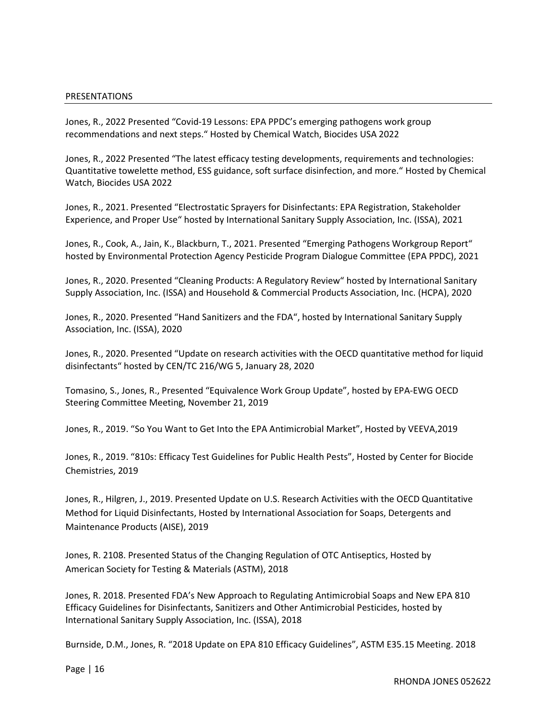#### PRESENTATIONS

Jones, R., 2022 Presented "Covid-19 Lessons: EPA PPDC's emerging pathogens work group recommendations and next steps." Hosted by Chemical Watch, Biocides USA 2022

Jones, R., 2022 Presented "The latest efficacy testing developments, requirements and technologies: Quantitative towelette method, ESS guidance, soft surface disinfection, and more." Hosted by Chemical Watch, Biocides USA 2022

Jones, R., 2021. Presented "Electrostatic Sprayers for Disinfectants: EPA Registration, Stakeholder Experience, and Proper Use" hosted by International Sanitary Supply Association, Inc. (ISSA), 2021

Jones, R., Cook, A., Jain, K., Blackburn, T., 2021. Presented "Emerging Pathogens Workgroup Report" hosted by Environmental Protection Agency Pesticide Program Dialogue Committee (EPA PPDC), 2021

Jones, R., 2020. Presented "Cleaning Products: A Regulatory Review" hosted by International Sanitary Supply Association, Inc. (ISSA) and Household & Commercial Products Association, Inc. (HCPA), 2020

Jones, R., 2020. Presented "Hand Sanitizers and the FDA", hosted by International Sanitary Supply Association, Inc. (ISSA), 2020

Jones, R., 2020. Presented "Update on research activities with the OECD quantitative method for liquid disinfectants" hosted by CEN/TC 216/WG 5, January 28, 2020

Tomasino, S., Jones, R., Presented "Equivalence Work Group Update", hosted by EPA-EWG OECD Steering Committee Meeting, November 21, 2019

Jones, R., 2019. "So You Want to Get Into the EPA Antimicrobial Market", Hosted by VEEVA,2019

Jones, R., 2019. "810s: Efficacy Test Guidelines for Public Health Pests", Hosted by Center for Biocide Chemistries, 2019

Jones, R., Hilgren, J., 2019. Presented Update on U.S. Research Activities with the OECD Quantitative Method for Liquid Disinfectants, Hosted by International Association for Soaps, Detergents and Maintenance Products (AISE), 2019

Jones, R. 2108. Presented Status of the Changing Regulation of OTC Antiseptics, Hosted by American Society for Testing & Materials (ASTM), 2018

Jones, R. 2018. Presented FDA's New Approach to Regulating Antimicrobial Soaps and New EPA 810 Efficacy Guidelines for Disinfectants, Sanitizers and Other Antimicrobial Pesticides, hosted by International Sanitary Supply Association, Inc. (ISSA), 2018

Burnside, D.M., Jones, R. "2018 Update on EPA 810 Efficacy Guidelines", ASTM E35.15 Meeting. 2018

Page | 16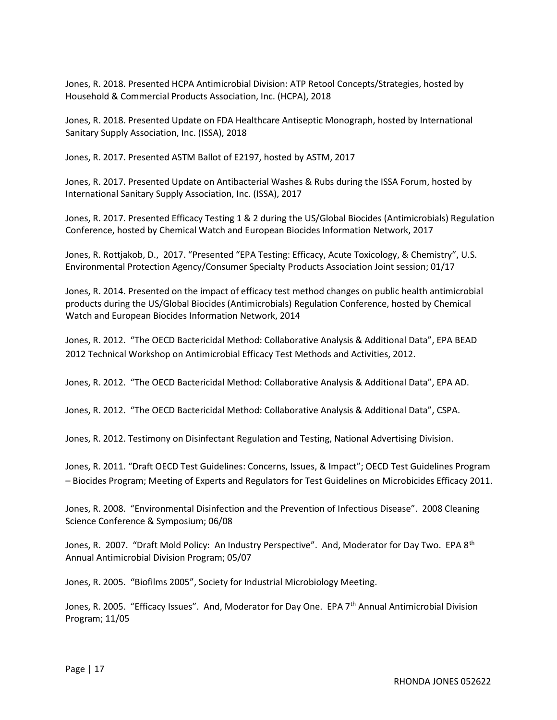Jones, R. 2018. Presented HCPA Antimicrobial Division: ATP Retool Concepts/Strategies, hosted by Household & Commercial Products Association, Inc. (HCPA), 2018

Jones, R. 2018. Presented Update on FDA Healthcare Antiseptic Monograph, hosted by International Sanitary Supply Association, Inc. (ISSA), 2018

Jones, R. 2017. Presented ASTM Ballot of E2197, hosted by ASTM, 2017

Jones, R. 2017. Presented Update on Antibacterial Washes & Rubs during the ISSA Forum, hosted by International Sanitary Supply Association, Inc. (ISSA), 2017

Jones, R. 2017. Presented Efficacy Testing 1 & 2 during the US/Global Biocides (Antimicrobials) Regulation Conference, hosted by Chemical Watch and European Biocides Information Network, 2017

Jones, R. Rottjakob, D., 2017. "Presented "EPA Testing: Efficacy, Acute Toxicology, & Chemistry", U.S. Environmental Protection Agency/Consumer Specialty Products Association Joint session; 01/17

Jones, R. 2014. Presented on the impact of efficacy test method changes on public health antimicrobial products during the US/Global Biocides (Antimicrobials) Regulation Conference, hosted by Chemical Watch and European Biocides Information Network, 2014

Jones, R. 2012. "The OECD Bactericidal Method: Collaborative Analysis & Additional Data", EPA BEAD 2012 Technical Workshop on Antimicrobial Efficacy Test Methods and Activities, 2012.

Jones, R. 2012. "The OECD Bactericidal Method: Collaborative Analysis & Additional Data", EPA AD.

Jones, R. 2012. "The OECD Bactericidal Method: Collaborative Analysis & Additional Data", CSPA.

Jones, R. 2012. Testimony on Disinfectant Regulation and Testing, National Advertising Division.

Jones, R. 2011. "Draft OECD Test Guidelines: Concerns, Issues, & Impact"; OECD Test Guidelines Program – Biocides Program; Meeting of Experts and Regulators for Test Guidelines on Microbicides Efficacy 2011.

Jones, R. 2008. "Environmental Disinfection and the Prevention of Infectious Disease". 2008 Cleaning Science Conference & Symposium; 06/08

Jones, R. 2007. "Draft Mold Policy: An Industry Perspective". And, Moderator for Day Two. EPA 8<sup>th</sup> Annual Antimicrobial Division Program; 05/07

Jones, R. 2005. "Biofilms 2005", Society for Industrial Microbiology Meeting.

Jones, R. 2005. "Efficacy Issues". And, Moderator for Day One. EPA 7<sup>th</sup> Annual Antimicrobial Division Program; 11/05